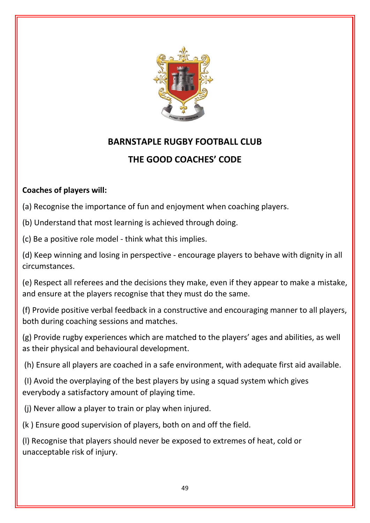

## **BARNSTAPLE RUGBY FOOTBALL CLUB**

## **THE GOOD COACHES' CODE**

## **Coaches of players will:**

(a) Recognise the importance of fun and enjoyment when coaching players.

(b) Understand that most learning is achieved through doing.

(c) Be a positive role model - think what this implies.

(d) Keep winning and losing in perspective - encourage players to behave with dignity in all circumstances.

(e) Respect all referees and the decisions they make, even if they appear to make a mistake, and ensure at the players recognise that they must do the same.

(f) Provide positive verbal feedback in a constructive and encouraging manner to all players, both during coaching sessions and matches.

(g) Provide rugby experiences which are matched to the players' ages and abilities, as well as their physical and behavioural development.

(h) Ensure all players are coached in a safe environment, with adequate first aid available.

(I) Avoid the overplaying of the best players by using a squad system which gives everybody a satisfactory amount of playing time.

(j) Never allow a player to train or play when injured.

(k ) Ensure good supervision of players, both on and off the field.

(l) Recognise that players should never be exposed to extremes of heat, cold or unacceptable risk of injury.